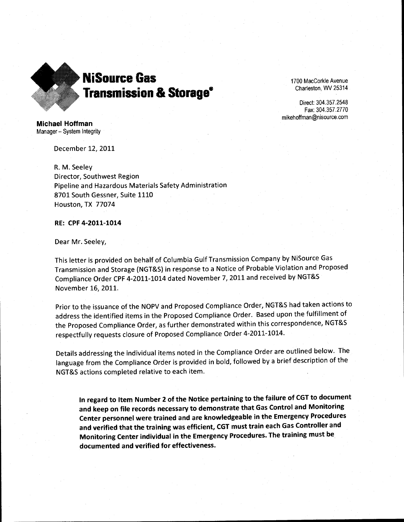

1700 MacCorkle Avenue Charleston, WV 25314

Direct: 304.357.2548 Fax: 304.357.2770 mikehoffman@nisource.com

Michael Hoffman Manager- System Integrity

December 12, 2011

R. M. Seeley Director, Southwest Region Pipeline and Hazardous Materials Safety Administration 8701 South Gessner, Suite 1110 Houston, TX 77074

## RE: CPF 4-2011-1014

Dear Mr. Seeley,

This letter is provided on behalf of Columbia Gulf Transmission Company by NiSource Gas Transmission and Storage (NGT&S) in response to a Notice of Probable Violation and Proposed Compliance Order CPF 4-2011-1014 dated November 7, 2011 and received by NGT&S November 16, 2011.

Prior to the issuance of the NOPV and Proposed Compliance Order, NGT&S had taken actions to address the identified items in the Proposed Compliance Order. Based upon the fulfillment of the Proposed Compliance Order, as further demonstrated within this correspondence, NGT&S respectfully requests closure of Proposed Compliance Order 4-2011-1014.

Details addressing the individual items noted in the Compliance Order are outlined below. The language from the Compliance Order is provided in bold, followed by a brief description of the NGT&S actions completed relative to each item.

In regard to Item Number 2 of the Notice pertaining to the failure of CGT to document and keep on file records necessary to demonstrate that Gas Control and Monitoring Center personnel were trained and are knowledgeable in the Emergency Procedures and verified that the training was efficient, CGT must train each Gas Controller and Monitoring Center individual in the Emergency Procedures. The training must be documented and verified for effectiveness.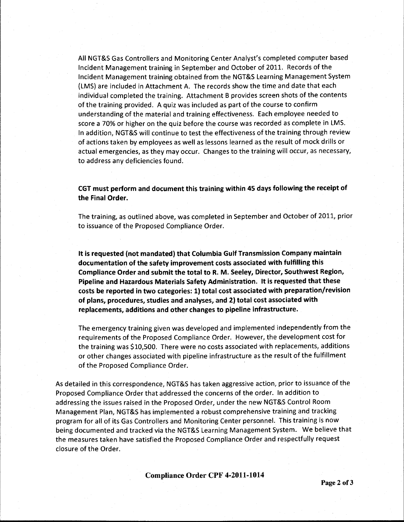All NGT&S Gas Controllers and Monitoring Center Analyst's completed computer based Incident Management training in September and October of 2011. Records of the Incident Management training obtained from the NGT&S Learning Management System (LMS) are included in Attachment A. The records show the time and date that each individual completed the training. Attachment B provides screen shots of the contents of the training provided. A quiz was included as part of the course to confirm understanding of the material and training effectiveness. Each employee needed to score a 70% or higher on the quiz before the course was recorded as complete in LMS. In addition, NGT&S will continue to test the effectiveness of the training through review of actions taken by employees as well as lessons learned as the result of mock drills or actual emergencies, as they may occur. Changes to the training will occur, as necessary, to address any deficiencies found.

CGT must perform and document this training within 45 days following the receipt of the Final Order.

The training, as outlined above, was completed in September and October of 2011, prior to issuance of the Proposed Compliance Order.

It is requested (not mandated) that Columbia Gulf Transmission Company maintain documentation of the safety improvement costs associated with fulfilling this Compliance Order and submit the total to R. M. Seeley, Director, Southwest Region, Pipeline and Hazardous Materials Safety Administration. It is requested that these costs be reported in two categories: 1) total cost associated with preparation/revision of plans, procedures, studies and analyses, and 2) total cost associated with replacements, additions and other changes to pipeline infrastructure.

The emergency training given was developed and implemented independently from the requirements of the Proposed Compliance Order. However, the development cost for the training was \$10,500. There were no costs associated with replacements, additions or other changes associated with pipeline infrastructure as the result of the fulfillment of the Proposed Compliance Order.

As detailed in this correspondence, NGT&S has taken aggressive action, prior to issuance of the Proposed Compliance Order that addressed the concerns of the order. In addition to addressing the issues raised in the Proposed Order, under the new NGT&S Control Room Management Plan, NGT&S has implemented a robust comprehensive training and tracking program for all of its Gas Controllers and Monitoring Center personnel. This training is now being documented and tracked via the NGT&S Learning Management System. We believe that the measures taken have satisfied the Proposed Compliance Order and respectfully request closure of the Order.